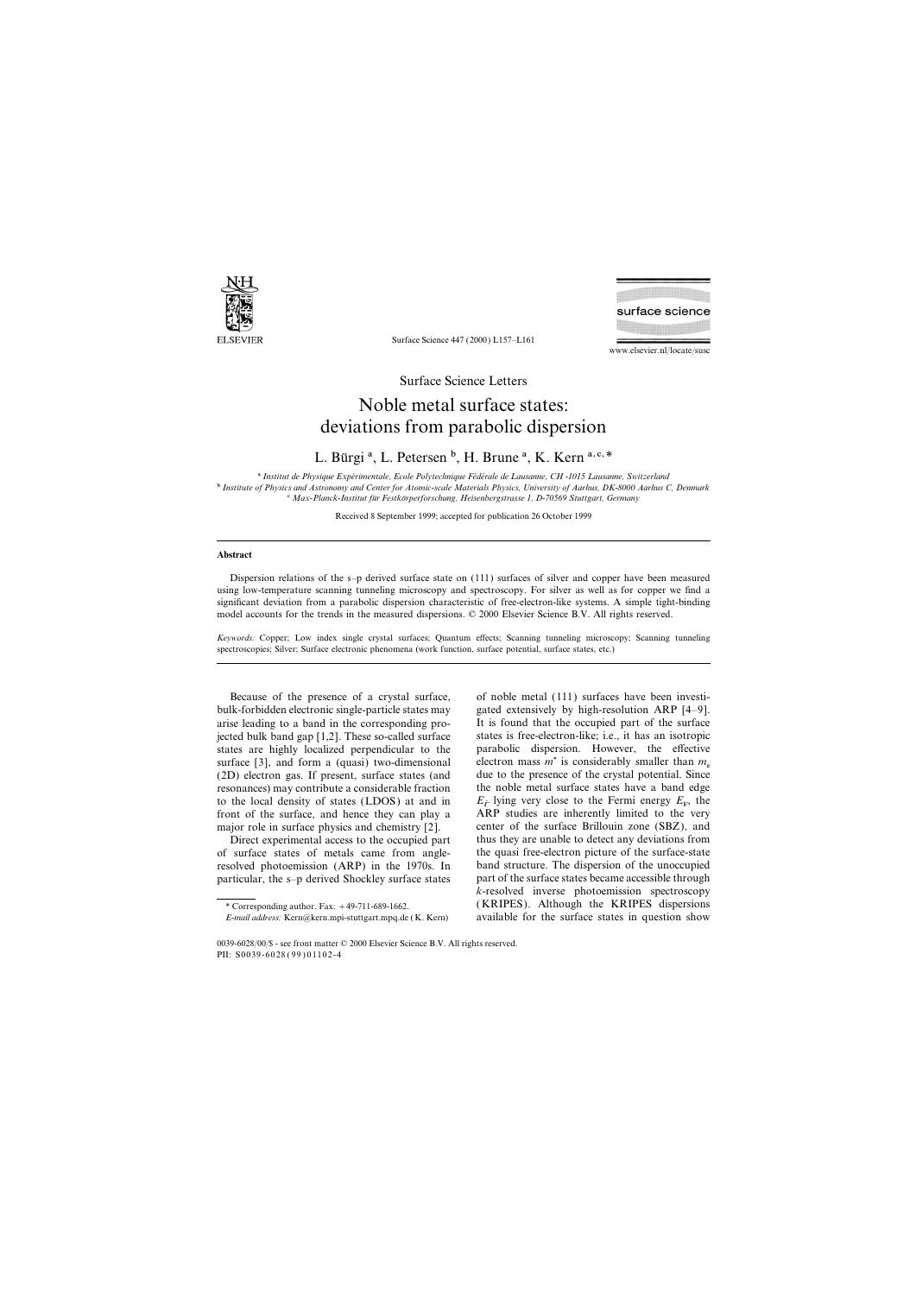

Surface Science 447 (2000) L157–L161

www.elsevier.nl/locate/susc

surface science

Surface Science Letters

## Noble metal surface states: deviations from parabolic dispersion

L. Bürgi<sup>a</sup>, L. Petersen<sup>b</sup>, H. Brune<sup>a</sup>, K. Kern<sup>a, c,\*</sup>

a *Institut de Physique Expe´rimentale, Ecole Polytechnique Fe´de´rale de Lausanne, CH -1015 Lausanne, Switzerland* b *Institute of Physics and Astronomy and Center for Atomic-scale Materials Physics, University of Aarhus, DK-8000 Aarhus C, Denmark* c *Max-Planck-Institut fu¨r Festko¨rperforschung, Heisenbergstrasse 1, D-70569 Stuttgart, Germany*

Received 8 September 1999; accepted for publication 26 October 1999

## **Abstract**

Dispersion relations of the s–p derived surface state on (111) surfaces of silver and copper have been measured using low-temperature scanning tunneling microscopy and spectroscopy. For silver as well as for copper we find a significant deviation from a parabolic dispersion characteristic of free-electron-like systems. A simple tight-binding model accounts for the trends in the measured dispersions. © 2000 Elsevier Science B.V. All rights reserved.

*Keywords:* Copper; Low index single crystal surfaces; Quantum effects; Scanning tunneling microscopy; Scanning tunneling spectroscopies; Silver; Surface electronic phenomena (work function, surface potential, surface states, etc.)

Because of the presence of a crystal surface, of noble metal (111) surfaces have been investibulk-forbidden electronic single-particle states may gated extensively by high-resolution ARP [4–9]. arise leading to a band in the corresponding pro- It is found that the occupied part of the surface jected bulk band gap [1,2]. These so-called surface states is free-electron-like; i.e., it has an isotropic states are highly localized perpendicular to the parabolic dispersion. However, the effective surface [3], and form a (quasi) two-dimensional electron mass  $m^*$  is considerably smaller than  $m_e$  (2D) electron gas. If present, surface states (and due to the presence of the crystal potential. Since  $(2D)$  electron gas. If present, surface states (and resonances) may contribute a considerable fraction the noble metal surface states have a band edge to the local density of states (LDOS) at and in  $E_{\overline{F}}$  lying very close to the Fermi energy  $E_F$ , the front of the surface, and hence they can play a  $ARP$  studies are inherently limited to the very

ARP studies are inherently limited to the very major role in surface physics and chemistry [2]. center of the surface Brillouin zone (SBZ), and Direct experimental access to the occupied part thus they are unable to detect any deviations from of surface states of metals came from angle- the quasi free-electron picture of the surface-state resolved photoemission (ARP) in the 1970s. In band structure. The dispersion of the unoccupied particular, the s–p derived Shockley surface states part of the surface states became accessible through *k*-resolved inverse photoemission spectroscopy \* Corresponding author. Fax: +49-711-689-1662. (KRIPES). Although the KRIPES dispersions *E-mail address:* Kern@kern.mpi-stuttgart.mpq.de (K. Kern) available for the surface states in question show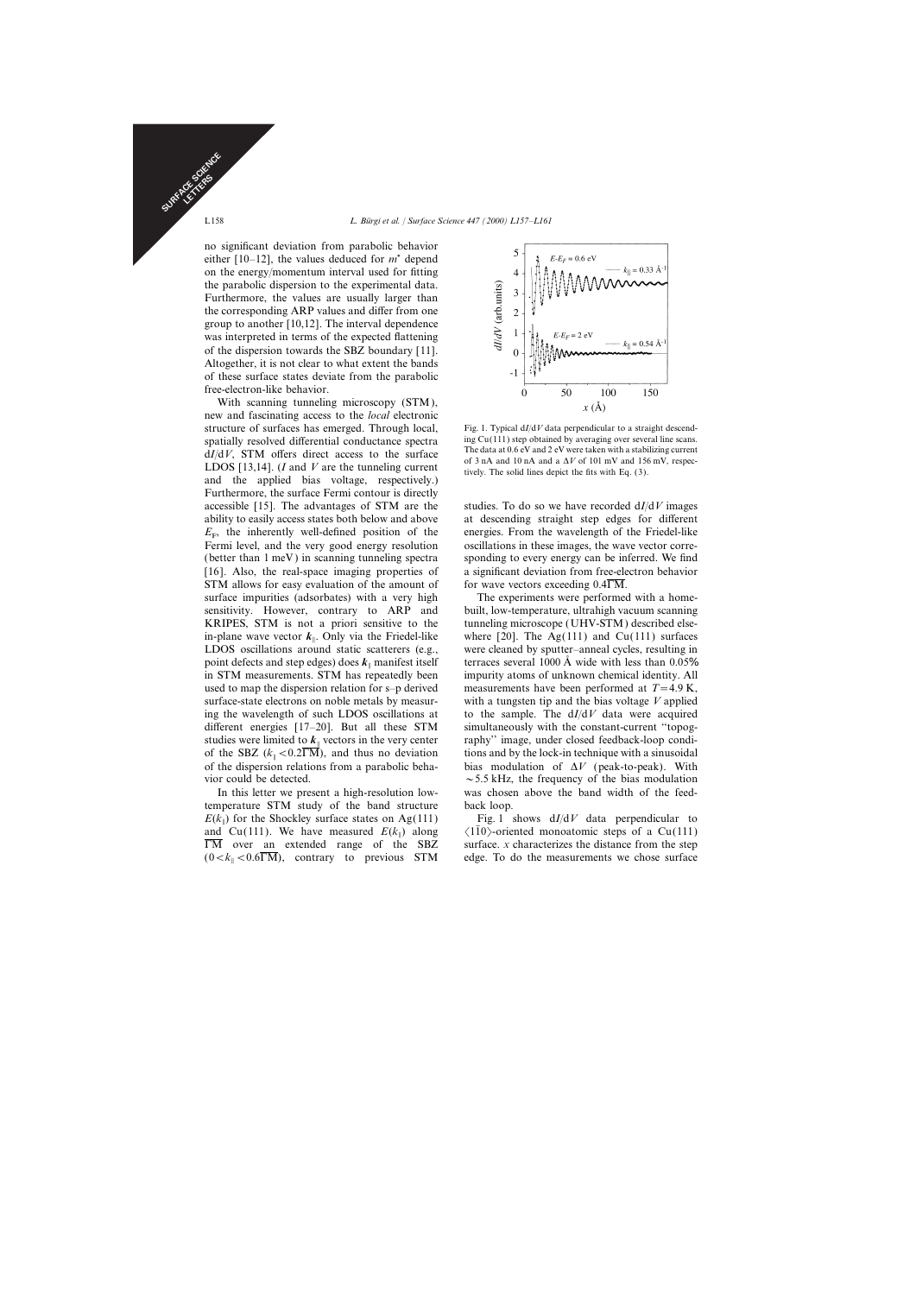no significant deviation from parabolic behavior either  $[10-12]$ , the values deduced for  $m^*$  depend on the energy/momentum interval used for fitting the parabolic dispersion to the experimental data. Furthermore, the values are usually larger than the corresponding ARP values and differ from one group to another [10,12]. The interval dependence was interpreted in terms of the expected flattening of the dispersion towards the SBZ boundary [11]. Altogether, it is not clear to what extent the bands of these surface states deviate from the parabolic free-electron-like behavior.

With scanning tunneling microscopy (STM), new and fascinating access to the *local* electronic structure of surfaces has emerged. Through local,<br>structure  $\frac{Fig. 1.$  Typical d*I*/d*V* data perpendicular to a straight descend-<br>spatially resolved differential conductance spectra ing Cu(111) step obtained by averaging spatially resolved differential conductance spectra<br>differential conductance spectra are  $dI/dV$ , STM offers direct access to the surface<br>LDOS [13,14]. (*I* and *V* are the tunneling current<br>differential conductance of 3 n and the applied bias voltage, respectively.) Furthermore, the surface Fermi contour is directly accessible [15]. The advantages of STM are the studies. To do so we have recorded d*I*/d*V* images ability to easily access states both below and above at descending straight step edges for different  $E<sub>F</sub>$ , the inherently well-defined position of the Fermi level, and the very good energy resolution oscillations in these images, the wave vector corre-(better than 1 meV ) in scanning tunneling spectra sponding to every energy can be inferred. We find [16]. Also, the real-space imaging properties of a significant deviation from free-electron behavior STM allows for easy evaluation of the amount of for wave vectors exceeding  $0.4\overline{\rm{FM}}$ . surface impurities (adsorbates) with a very high The experiments were performed with a homesensitivity. However, contrary to ARP and built, low-temperature, ultrahigh vacuum scanning KRIPES, STM is not a priori sensitive to the tunneling microscope (UHV-STM) described elsein-plane wave vector  $k_{\parallel}$ . Only via the Friedel-like  $\Delta$  LDOS oscillations around static scatterers (e.g., were cleaned by sputter–anneal cycles, resulting in point defects and step edges) does  $k_{\parallel}$  manifest itself in STM measurements. STM has repeatedly been used to map the dispersion relation for s–p derived measurements have been performed at  $T=4.9$  K, surface-state electrons on noble metals by measur- with a tungsten tip and the bias voltage *V* applied ing the wavelength of such LDOS oscillations at to the sample. The d*I*/d*V* data were acquired different energies [17-20]. But all these STM simultaneously with the constant-current "topogstudies were limited to  $k_{\parallel}$  vectors in the very center of the SBZ  $(k_{\parallel} < 0.2 \text{TM})$ , and thus no deviation tions and by the lock-in technique with a sinusoidal of the dispersion relations from a parabolic beha-<br>bias modulation of  $\Delta V$  (peak-to-peak). With of the SBZ  $(k_{\parallel} < 0.2\overline{\rm{NM}})$ , and thus no deviation vior could be detected.  $\sim$  5.5 kHz, the frequency of the bias modulation

temperature STM study of the band structure back loop.  $E(k_{\parallel})$  for the Shockley surface states on Ag(111)  $\lbrack \text{Out}(111) \rbrack$  Cu(111). We have measured  $E(k_{\parallel})$  along  $\overline{\Gamma}$ M over an extended range of the SBZ  $(0 < k_{\parallel} < 0.6$ M), contrary to previous STM edge. To do the measurements we chose surface



energies. From the wavelength of the Friedel-like

where [20]. The Ag(111) and Cu(111) surfaces terraces several 1000  $\AA$  wide with less than 0.05% impurity atoms of unknown chemical identity. All raphy" image, under closed feedback-loop condibias modulation of  $\Delta V$  (peak-to-peak). With In this letter we present a high-resolution low- was chosen above the band width of the feed-

> Fig. 1 shows  $dI/dV$  data perpendicular to  $\langle 110 \rangle$ -oriented monoatomic steps of a Cu(111) surface. *x* characterizes the distance from the step

SURFACE SCIENCE CE STRS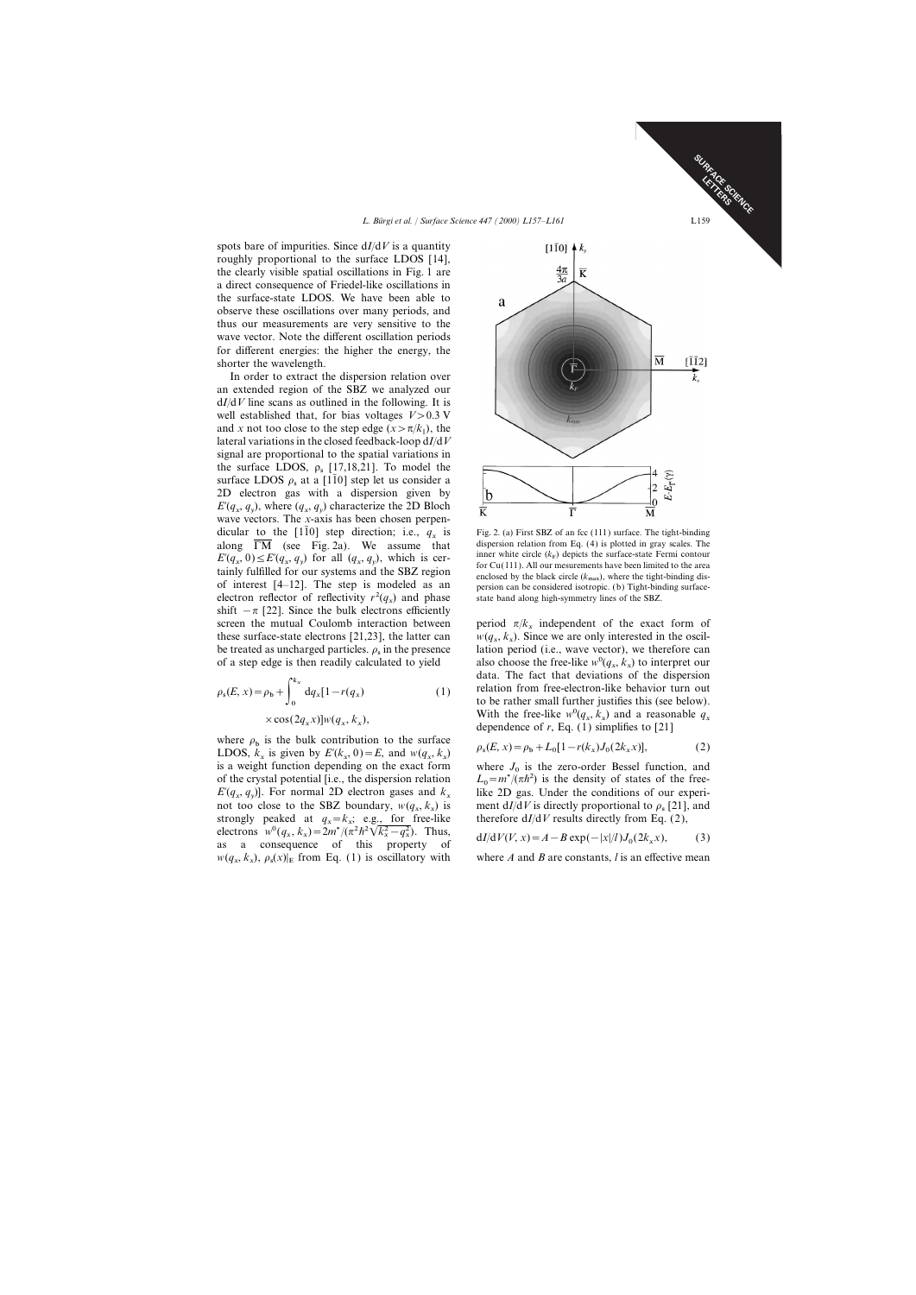spots bare of impurities. Since d*I*/d*V* is a quantity roughly proportional to the surface LDOS [14], the clearly visible spatial oscillations in Fig. 1 are a direct consequence of Friedel-like oscillations in the surface-state LDOS. We have been able to observe these oscillations over many periods, and thus our measurements are very sensitive to the wave vector. Note the different oscillation periods for different energies: the higher the energy, the shorter the wavelength.

In order to extract the dispersion relation over an extended region of the SBZ we analyzed our d*I*/d*V* line scans as outlined in the following. It is well established that, for bias voltages  $V > 0.3$  V and *x* not too close to the step edge  $(x > \pi/k_{\parallel})$ , the did *x* hot too close to the step edge  $(x > h/n_{\parallel})$ , the lateral variations in the closed feedback-loop  $dI/dV$ signal are proportional to the spatial variations in the surface LDOS,  $\rho_s$  [17,18,21]. To model the surface LDOS  $\rho_s$  at a [110] step let us consider a 2D electron gas with a dispersion given by  $E'(q_x, q_y)$ , where  $(q_x, q_y)$  characterize the 2D Bloch  $\mathcal{L}(q_x, q_y)$ , where  $(q_x, q_y)$  characterize the  $\mathcal{L}$  Bloch<br>wave vectors. The *x*-axis has been chosen perpendicular to the [110] step direction; i.e.,  $q_x$  is Fig. 2. (a) First SBZ of an fcc (111) surface. The tight-binding along  $\overline{LM}$  (see Fig. 2a). We assume that dispersion relation from Eq. (4) is plotted in gray scales. along  $\overline{\text{TM}}$  (see Fig. 2a). We assume that  $E'(q_x, 0) \le E'(q_x, q_y)$  for all  $(q_x, q_y)$ , which is cer-<br>for  $G_0(111)$  all contracts the surface-state Fermi contour  $E'(q_x, 0) \le E'(q_x, q_y)$  for all  $(q_x, q_y)$ , which is cer-<br>tainly fulfilled for our systems and the SBZ region<br>enclosed by the black circle ( $k_{\text{max}}$ ), where the tight-binding disof interest  $[4-12]$ . The step is modeled as an persion can be considered isotropic. (b) Tight-binding surfaceelectron reflector of reflectivity  $r^2(q_x)$  and phase state band along high-symmetry lines of the SBZ. shift  $-\pi$  [22]. Since the bulk electrons efficiently screen the mutual Coulomb interaction between be treated as uncharged particles.  $\rho_s$  in the presence of a step edge is then readily calculated to yield

$$
\rho_{s}(E, x) = \rho_{b} + \int_{0}^{k_{x}} dq_{x}[1 - r(q_{x})
$$
\n
$$
\times \cos(2q_{x}x)]w(q_{x}, k_{x}),
$$
\n(1)

where  $\rho_b$  is the bulk contribution to the surface *x*)  $\beta_6(E, x) = \rho_b + L_0[1 - r(k_x)J_0(2k_x x)],$ <br>
LDOS,  $k_x$  is given by  $E'(k_x, 0) = E$ , and  $w(q_x, k_x)$   $\rho_s(E, x) = \rho_b + L_0[1 - r(k_x)J_0(2k_x x)],$  (2)  $2D\sigma S$ ,  $\kappa_x$  is given by  $L(\kappa_x, \sigma) = L$ , and  $w(q_x, \kappa_x)$ <br>is a weight function depending on the exact form where *J* of the crystal potential [i.e., the dispersion relation  $E'(q_x, q_y)$ . For normal 2D electron gases and *k*  $\mu$ (*q*<sub>x</sub>, *q*<sub>y</sub>)]. Tot homal 2D election gases and not too close to the SBZ boundary,  $w(q_x, k_y)$ strongly peaked at  $q_x = k_x$ ; e.g., for freeelectrons  $w^{0}(q_{x}, k_{x}) = 2m^{*}/(\pi^{2}h^{2}\sqrt{k_{x}^{2} - q_{x}^{2}})$ . Thus,  $dI/dV(V, x) = A - B \exp(-|x|/l)J$ as a consequence of this property of  $dI/dV(V, x) = A - B \exp(-|x|/l)J_0(2k_x x)$ , (3)  $w(q_x, k_x), \rho_s(x)$ 



inner white circle  $(k_F)$  depicts the surface-state Fermi contour for Cu(111). All our mesurements have been limited to the area enclosed by the black circle  $(k_{\text{max}})$ , where the tight-binding dis-

period  $\pi/k_x$  independent of the exact form of these surface-state electrons [21,23], the latter can  $w(q_x, k_x)$ . Since we are only interested in the oscil-<br>he treated as unabarged particles, a in the presence in the presence lation period (i.e., wave vector), we therefore can of a step edge is then readily calculated to yield also choose the free-like  $w^0(q_x, k_x)$  to interpret our data. The fact that deviations of the dispersion relation from free-electron-like behavior turn out ) (1) to be rather small further justifies this (see below).  $(\times \cos(2q_x x)] w(q_x, k_x),$ <br>With the free-like  $w^0(q_x, k_x)$  and a reasonable  $q_x$ <br>dependence of *r*, Eq. (1) simplifies to [21] ), while the same  $w(q_x, \kappa_x)$  and a reason dependence of *r*, Eq. (1) simplifies to [21]

$$
\rho_{s}(E, x) = \rho_{b} + L_{0}[1 - r(k_{x})J_{0}(2k_{x}x)],
$$
\n(2)

where  $J_0$  is the zero-order Bessel function, and  $L_0 = m^*/(\pi h^2)$  is the density of states of the freelike 2D gas. Under the conditions of our experi-) is ment  $dI/dV$  is directly proportional to  $\rho_s$  [21], and  $\therefore$  e.g., for free-like therefore  $dI/dV$  results directly from Eq. (2),

$$
dI/dV(V, x) = A - B \exp(-|x|/l)J_0(2k_x x), \qquad (3)
$$

where  $A$  and  $B$  are constants,  $l$  is an effective mean

SURFACE SCIENCE LETCE OF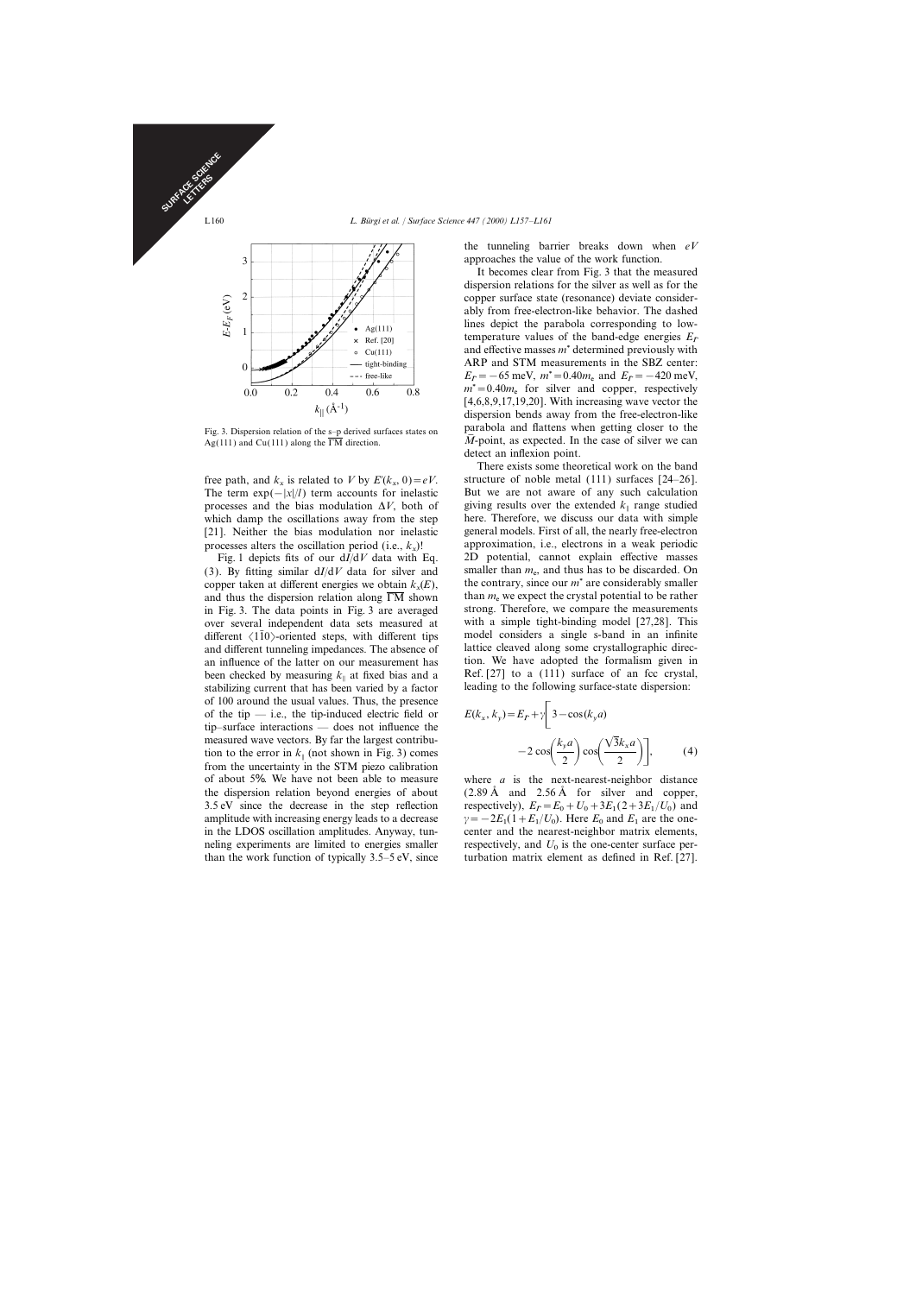

The term  $\exp(-|x|/l)$  term accounts for inelastic But we are not aware of any such calculation processes and the bias modulation  $\Delta V$ , both of giving results over the extended  $k_{\parallel}$  range studied which damp the oscillations away from the step here. Therefore, we discuss our data with simple [21]. Neither the bias modulation nor inelastic general models. First of all, the nearly free-electron

copper taken at different energies we obtain  $k_x(E)$ , and thus the dispersion relation along  $\overline{\text{TM}}$  shown in Fig. 3. The data points in Fig. 3 are averaged over several independent data sets measured at with a simple tight-binding model [27,28]. This different  $\langle 110 \rangle$ -oriented steps, with different tips model considers a single s-band in an infinite and different tunneling impedances. The absence of lattice cleaved along some crystallographic direcan influence of the latter on our measurement has tion. We have adopted the formalism given in<br>been checked by measuring  $k_a$  at fixed bias and a Ref. [27] to a (111) surface of an fcc crystal, been checked by measuring  $k_{\parallel}$  at fixed bias and a<br>stabilizing current that has been varied by a factor leading to the following surface-state dispersion: stabilizing current that has been varied by a factor of 100 around the usual values. Thus, the presence of the tip — i.e., the tip-induced electric field or tip–surface interactions — does not influence the measured wave vectors. By far the largest contribu tion to the error in  $k_{\parallel}$  (not shown in Fig. 3) comes  $-2 \cos\left(\frac{y}{2}\right) \cos\left(\frac{y}{2}\right)$  (4)<br>from the uncertainty in the STM piezo calibration from the uncertainty in the STM piezo calibration of about 5%. We have not been able to measure where *a* is the next-nearest-neighbor distance the dispersion relation beyond energies of about  $(2.89 \text{ Å}$  and  $2.56 \text{ Å}$  for silver and copper, 3.5 eV since the decrease in the step reflection amplitude with increasing energy leads to a decrease in the LDOS oscillation amplitudes. Anyway, tunneling experiments are limited to energies smaller respectively, and  $U_0$  is the one-center surface per-<br>than the work function of typically  $3.5-5$  eV, since turbation matrix element as defined in Ref. [27].

the tunneling barrier breaks down when *eV* approaches the value of the work function.

It becomes clear from Fig. 3 that the measured dispersion relations for the silver as well as for the copper surface state (resonance) deviate considerably from free-electron-like behavior. The dashed lines depict the parabola corresponding to lowtemperature values of the band-edge energies  $E<sub>F</sub>$  and effective masses  $m<sup>*</sup>$  determined previously with ARP and STM measurements in the SBZ center:  $E_{\bar{F}} = -65$  meV,  $m^* = 0.40m_e$  and  $E_{\bar{F}} = -420$  meV,<br> $m^* = 0.40m_e$  for eily<br> $m_e$  and connect recreatively  $m^*$  = 0.40 $m_e$  for silver and copper, respectively [4,6,8,9,17,19,20]. With increasing wave vector the dispersion bends away from the free-electron-like Fig. 3. Dispersion relation of the s–p derived surfaces states on parabola and flattens when getting closer to the Ag(111) and Cu(111) along the  $\overline{\text{r}}$ M direction.  $\overline{M}$ -point, as expected. In the case of silver we  $\overline{M}$ -point, as expected. In the case of silver we can detect an inflexion point.

There exists some theoretical work on the band free path, and  $k_x$  is related to *V* by  $E'(k_x, 0) = eV$ . structure of noble metal (111) surfaces [24–26]. processes alters the oscillation period (i.e.,  $k_x$ )! approximation, i.e., electrons in a weak periodic  $\overline{k}$  and  $\overline{k}$  and  $\overline{k}$  and  $\overline{k}$  and  $\overline{k}$  and  $\overline{k}$  and  $\overline{k}$  and  $\overline{k}$  and  $\overline{k}$  and  $\overline{k}$  a Fig. 1 depicts fits of our d*I*/d*V* data with Eq. 2D potential, cannot explain effective masses (3). By fitting similar  $dI/dV$  data for silver and smaller than  $m_e$ , and thus has to be discarded. On the contrary, since our  $m^*$  are considerably smaller than  $m_e$  we expect the crystal potential to be rather strong. Therefore, we compare the measurements

$$
E(k_x, k_y) = E_{\bar{F}} + \gamma \left[ 3 - \cos(k_y a) -2 \cos \left( \frac{k_y a}{2} \right) \cos \left( \frac{\sqrt{3} k_x a}{2} \right) \right],
$$
 (4)

 $=E_0 + U_0 + 3E_1(2 + 3E_1/U_0)$  and  $(1 + E_1/U_0)$ . Here  $E_0$  and  $E_1$  are the onecenter and the nearest-neighbor matrix elements, turbation matrix element as defined in Ref. [27].

SURFACE SCIENCE CE STRS